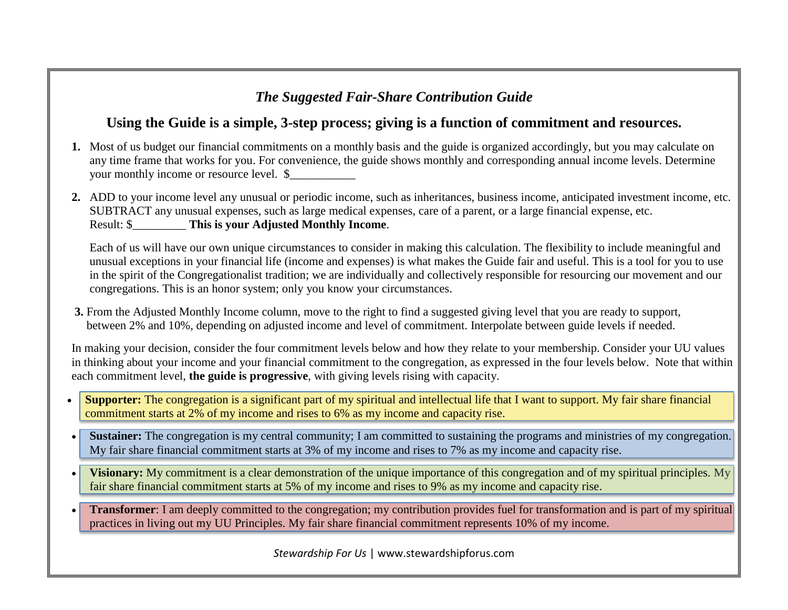## *The Suggested Fair-Share Contribution Guide*

## **Using the Guide is a simple, 3-step process; giving is a function of commitment and resources.**

- **1.** Most of us budget our financial commitments on a monthly basis and the guide is organized accordingly, but you may calculate on any time frame that works for you. For convenience, the guide shows monthly and corresponding annual income levels. Determine your monthly income or resource level. \$
- **2.** ADD to your income level any unusual or periodic income, such as inheritances, business income, anticipated investment income, etc. SUBTRACT any unusual expenses, such as large medical expenses, care of a parent, or a large financial expense, etc. Result: \$\_\_\_\_\_\_\_\_\_ **This is your Adjusted Monthly Income**.

Each of us will have our own unique circumstances to consider in making this calculation. The flexibility to include meaningful and unusual exceptions in your financial life (income and expenses) is what makes the Guide fair and useful. This is a tool for you to use in the spirit of the Congregationalist tradition; we are individually and collectively responsible for resourcing our movement and our congregations. This is an honor system; only you know your circumstances.

 **3.** From the Adjusted Monthly Income column, move to the right to find a suggested giving level that you are ready to support, between 2% and 10%, depending on adjusted income and level of commitment. Interpolate between guide levels if needed.

In making your decision, consider the four commitment levels below and how they relate to your membership. Consider your UU values in thinking about your income and your financial commitment to the congregation, as expressed in the four levels below. Note that within each commitment level, **the guide is progressive**, with giving levels rising with capacity.

- **Supporter:** The congregation is a significant part of my spiritual and intellectual life that I want to support. My fair share financial commitment starts at 2% of my income and rises to 6% as my income and capacity rise.
- **Sustainer:** The congregation is my central community; I am committed to sustaining the programs and ministries of my congregation. My fair share financial commitment starts at 3% of my income and rises to 7% as my income and capacity rise.
- **Visionary:** My commitment is a clear demonstration of the unique importance of this congregation and of my spiritual principles. My fair share financial commitment starts at 5% of my income and rises to 9% as my income and capacity rise.
- **Transformer**: I am deeply committed to the congregation; my contribution provides fuel for transformation and is part of my spiritual practices in living out my UU Principles. My fair share financial commitment represents 10% of my income.

*Stewardship For Us* | www.stewardshipforus.com